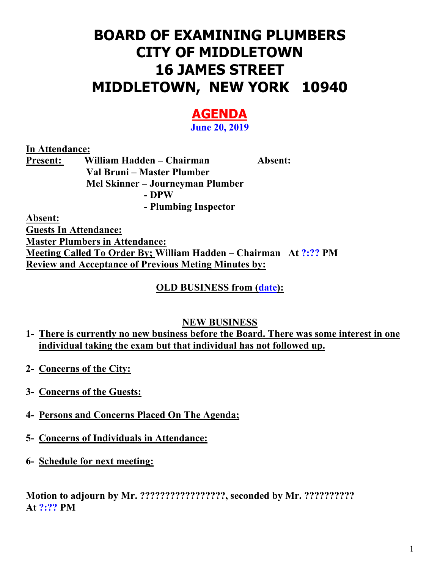# **BOARD OF EXAMINING PLUMBERS CITY OF MIDDLETOWN 16 JAMES STREET MIDDLETOWN, NEW YORK 10940**

# **AGENDA**

**June 20, 2019** 

**In Attendance:** 

**Present: William Hadden – Chairman Absent: Val Bruni – Master Plumber Mel Skinner – Journeyman Plumber - DPW - Plumbing Inspector** 

**Absent:** 

**Guests In Attendance: Master Plumbers in Attendance: Meeting Called To Order By; William Hadden – Chairman At ?:?? PM Review and Acceptance of Previous Meting Minutes by:** 

## **OLD BUSINESS from (date):**

### **NEW BUSINESS**

- **1- There is currently no new business before the Board. There was some interest in one individual taking the exam but that individual has not followed up.**
- **2- Concerns of the City:**
- **3- Concerns of the Guests:**
- **4- Persons and Concerns Placed On The Agenda;**
- **5- Concerns of Individuals in Attendance:**
- **6- Schedule for next meeting:**

**Motion to adjourn by Mr. ?????????????????, seconded by Mr. ?????????? At ?:?? PM**